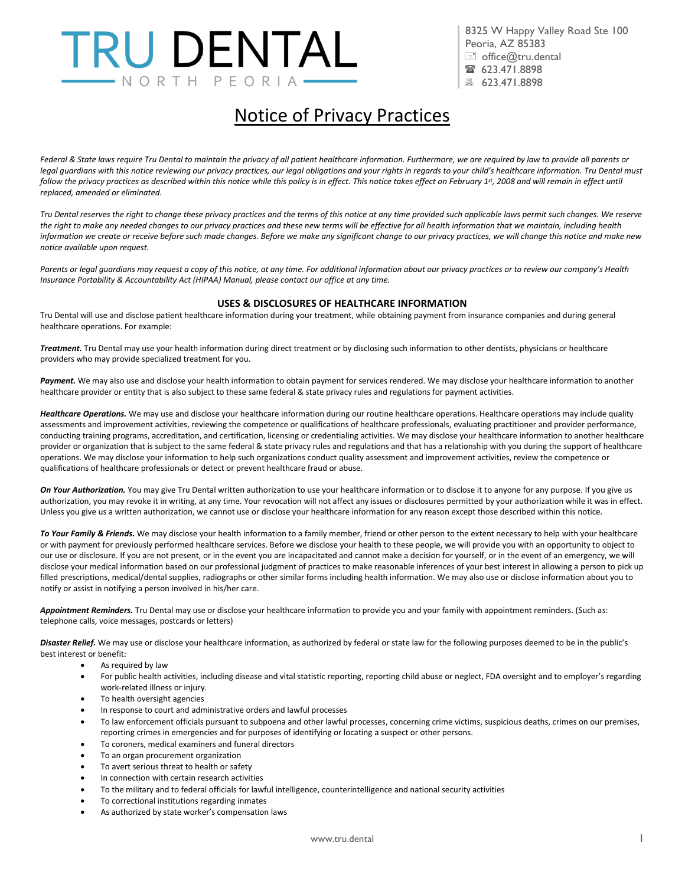# TRU DENTAL -NORTH PEORI

 8325 W Happy Valley Road Ste 100 Peoria, AZ 85383  $\equiv$  office@tru.dental ■ 623.471.8898 ■ 623.471.8898

## Notice of Privacy Practices

*Federal & State laws require Tru Dental to maintain the privacy of all patient healthcare information. Furthermore, we are required by law to provide all parents or*  legal guardians with this notice reviewing our privacy practices, our legal obligations and your rights in regards to your child's healthcare information. Tru Dental must *follow the privacy practices as described within this notice while this policy is in effect. This notice takes effect on February 1st, 2008 and will remain in effect until replaced, amended or eliminated.*

*Tru Dental reserves the right to change these privacy practices and the terms of this notice at any time provided such applicable laws permit such changes. We reserve*  the right to make any needed changes to our privacy practices and these new terms will be effective for all health information that we maintain, including health *information we create or receive before such made changes. Before we make any significant change to our privacy practices, we will change this notice and make new notice available upon request.*

*Parents or legal guardians may request a copy of this notice, at any time. For additional information about our privacy practices or to review our company's Health Insurance Portability & Accountability Act (HIPAA) Manual, please contact our office at any time.*

#### **USES & DISCLOSURES OF HEALTHCARE INFORMATION**

Tru Dental will use and disclose patient healthcare information during your treatment, while obtaining payment from insurance companies and during general healthcare operations. For example:

*Treatment.* Tru Dental may use your health information during direct treatment or by disclosing such information to other dentists, physicians or healthcare providers who may provide specialized treatment for you.

Payment. We may also use and disclose your health information to obtain payment for services rendered. We may disclose your healthcare information to another healthcare provider or entity that is also subject to these same federal & state privacy rules and regulations for payment activities.

Healthcare Operations. We may use and disclose your healthcare information during our routine healthcare operations. Healthcare operations may include quality assessments and improvement activities, reviewing the competence or qualifications of healthcare professionals, evaluating practitioner and provider performance, conducting training programs, accreditation, and certification, licensing or credentialing activities. We may disclose your healthcare information to another healthcare provider or organization that is subject to the same federal & state privacy rules and regulations and that has a relationship with you during the support of healthcare operations. We may disclose your information to help such organizations conduct quality assessment and improvement activities, review the competence or qualifications of healthcare professionals or detect or prevent healthcare fraud or abuse.

*On Your Authorization.* You may give Tru Dental written authorization to use your healthcare information or to disclose it to anyone for any purpose. If you give us authorization, you may revoke it in writing, at any time. Your revocation will not affect any issues or disclosures permitted by your authorization while it was in effect. Unless you give us a written authorization, we cannot use or disclose your healthcare information for any reason except those described within this notice.

*To Your Family & Friends.* We may disclose your health information to a family member, friend or other person to the extent necessary to help with your healthcare or with payment for previously performed healthcare services. Before we disclose your health to these people, we will provide you with an opportunity to object to our use or disclosure. If you are not present, or in the event you are incapacitated and cannot make a decision for yourself, or in the event of an emergency, we will disclose your medical information based on our professional judgment of practices to make reasonable inferences of your best interest in allowing a person to pick up filled prescriptions, medical/dental supplies, radiographs or other similar forms including health information. We may also use or disclose information about you to notify or assist in notifying a person involved in his/her care.

*Appointment Reminders.* Tru Dental may use or disclose your healthcare information to provide you and your family with appointment reminders. (Such as: telephone calls, voice messages, postcards or letters)

Disaster Relief. We may use or disclose your healthcare information, as authorized by federal or state law for the following purposes deemed to be in the public's best interest or benefit:

- As required by law
- For public health activities, including disease and vital statistic reporting, reporting child abuse or neglect, FDA oversight and to employer's regarding work-related illness or injury.
- To health oversight agencies
- In response to court and administrative orders and lawful processes
- To law enforcement officials pursuant to subpoena and other lawful processes, concerning crime victims, suspicious deaths, crimes on our premises, reporting crimes in emergencies and for purposes of identifying or locating a suspect or other persons.
- To coroners, medical examiners and funeral directors
- To an organ procurement organization
- To avert serious threat to health or safety
- In connection with certain research activities
- To the military and to federal officials for lawful intelligence, counterintelligence and national security activities
- To correctional institutions regarding inmates
- As authorized by state worker's compensation laws